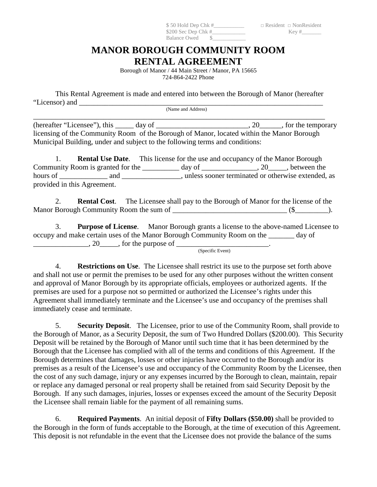Balance Owed \$

# **MANOR BOROUGH COMMUNITY ROOM RENTAL AGREEMENT**

Borough of Manor / 44 Main Street / Manor, PA 15665 724-864-2422 Phone

This Rental Agreement is made and entered into between the Borough of Manor (hereafter "Licensor) and \_\_\_\_\_\_\_\_\_\_\_\_\_\_\_\_\_\_\_\_\_\_\_\_\_\_\_\_\_\_\_\_\_\_\_\_\_\_\_\_\_\_\_\_\_\_\_\_\_\_\_\_\_\_\_\_\_\_\_\_\_\_\_\_\_\_

(Name and Address)

\_\_\_\_\_\_\_\_\_\_\_\_\_\_\_\_\_\_\_\_\_\_\_\_\_\_\_\_\_\_\_\_\_\_\_\_\_\_\_\_\_\_\_\_\_\_\_\_\_\_\_\_\_\_\_\_\_\_\_\_\_\_\_\_\_\_\_\_\_\_\_\_\_\_\_\_\_\_\_ (hereafter "Licensee"), this  $\_\_\_\_$  day of  $\_\_\_\_\_\_\_\_$ . 20 $\_\_\_\_\$  for the temporary licensing of the Community Room of the Borough of Manor, located within the Manor Borough Municipal Building, under and subject to the following terms and conditions:

1. **Rental Use Date**. This license for the use and occupancy of the Manor Borough Community Room is granted for the \_\_\_\_\_\_\_\_\_\_ day of \_\_\_\_\_\_\_\_\_\_\_\_\_, 20\_\_\_\_\_, between the hours of \_\_\_\_\_\_\_\_\_\_\_\_\_ and \_\_\_\_\_\_\_\_\_\_\_\_\_\_, unless sooner terminated or otherwise extended, as provided in this Agreement.

2. **Rental Cost**. The Licensee shall pay to the Borough of Manor for the license of the Manor Borough Community Room the sum of \_\_\_\_\_\_\_\_\_\_\_\_\_\_\_\_\_\_\_\_\_\_\_\_\_\_\_\_\_\_\_ (\$\_\_\_\_\_\_\_\_\_).

3. **Purpose of License**. Manor Borough grants a license to the above-named Licensee to occupy and make certain uses of the Manor Borough Community Room on the \_\_\_\_\_\_\_ day of  $20\_\_\_\_$ , for the purpose of  $\_\_\_\_\_\$ (Specific Event)

4. **Restrictions on Use**. The Licensee shall restrict its use to the purpose set forth above and shall not use or permit the premises to be used for any other purposes without the written consent and approval of Manor Borough by its appropriate officials, employees or authorized agents. If the premises are used for a purpose not so permitted or authorized the Licensee's rights under this Agreement shall immediately terminate and the Licensee's use and occupancy of the premises shall immediately cease and terminate.

5. **Security Deposit**. The Licensee, prior to use of the Community Room, shall provide to the Borough of Manor, as a Security Deposit, the sum of Two Hundred Dollars (\$200.00). This Security Deposit will be retained by the Borough of Manor until such time that it has been determined by the Borough that the Licensee has complied with all of the terms and conditions of this Agreement. If the Borough determines that damages, losses or other injuries have occurred to the Borough and/or its premises as a result of the Licensee's use and occupancy of the Community Room by the Licensee, then the cost of any such damage, injury or any expenses incurred by the Borough to clean, maintain, repair or replace any damaged personal or real property shall be retained from said Security Deposit by the Borough. If any such damages, injuries, losses or expenses exceed the amount of the Security Deposit the Licensee shall remain liable for the payment of all remaining sums.

6. **Required Payments**. An initial deposit of **Fifty Dollars (\$50.00)** shall be provided to the Borough in the form of funds acceptable to the Borough, at the time of execution of this Agreement. This deposit is not refundable in the event that the Licensee does not provide the balance of the sums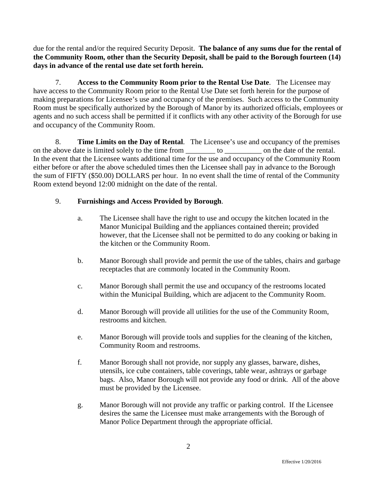due for the rental and/or the required Security Deposit. **The balance of any sums due for the rental of the Community Room, other than the Security Deposit, shall be paid to the Borough fourteen (14) days in advance of the rental use date set forth herein.**

7. **Access to the Community Room prior to the Rental Use Date**. The Licensee may have access to the Community Room prior to the Rental Use Date set forth herein for the purpose of making preparations for Licensee's use and occupancy of the premises. Such access to the Community Room must be specifically authorized by the Borough of Manor by its authorized officials, employees or agents and no such access shall be permitted if it conflicts with any other activity of the Borough for use and occupancy of the Community Room.

8. **Time Limits on the Day of Rental**. The Licensee's use and occupancy of the premises on the above date is limited solely to the time from  $\qquad \qquad$  to  $\qquad \qquad$  on the date of the rental. In the event that the Licensee wants additional time for the use and occupancy of the Community Room either before or after the above scheduled times then the Licensee shall pay in advance to the Borough the sum of FIFTY (\$50.00) DOLLARS per hour. In no event shall the time of rental of the Community Room extend beyond 12:00 midnight on the date of the rental.

## 9. **Furnishings and Access Provided by Borough**.

- a. The Licensee shall have the right to use and occupy the kitchen located in the Manor Municipal Building and the appliances contained therein; provided however, that the Licensee shall not be permitted to do any cooking or baking in the kitchen or the Community Room.
- b. Manor Borough shall provide and permit the use of the tables, chairs and garbage receptacles that are commonly located in the Community Room.
- c. Manor Borough shall permit the use and occupancy of the restrooms located within the Municipal Building, which are adjacent to the Community Room.
- d. Manor Borough will provide all utilities for the use of the Community Room, restrooms and kitchen.
- e. Manor Borough will provide tools and supplies for the cleaning of the kitchen, Community Room and restrooms.
- f. Manor Borough shall not provide, nor supply any glasses, barware, dishes, utensils, ice cube containers, table coverings, table wear, ashtrays or garbage bags. Also, Manor Borough will not provide any food or drink. All of the above must be provided by the Licensee.
- g. Manor Borough will not provide any traffic or parking control. If the Licensee desires the same the Licensee must make arrangements with the Borough of Manor Police Department through the appropriate official.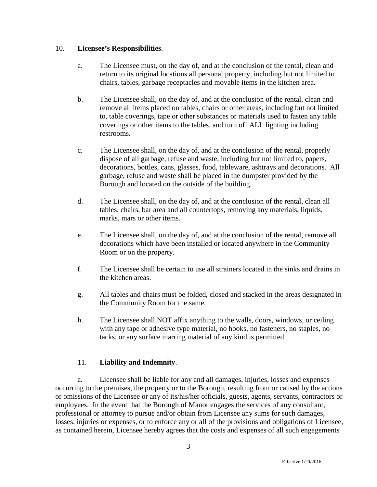#### 10. **Licensee's Responsibilities**.

- a. The Licensee must, on the day of, and at the conclusion of the rental, clean and return to its original locations all personal property, including but not limited to chairs, tables, garbage receptacles and movable items in the kitchen area.
- b. The Licensee shall, on the day of, and at the conclusion of the rental, clean and remove all items placed on tables, chairs or other areas, including but not limited to, table coverings, tape or other substances or materials used to fasten any table coverings or other items to the tables, and turn off ALL lighting including restrooms.
- c. The Licensee shall, on the day of, and at the conclusion of the rental, properly dispose of all garbage, refuse and waste, including but not limited to, papers, decorations, bottles, cans, glasses, food, tableware, ashtrays and decorations. All garbage, refuse and waste shall be placed in the dumpster provided by the Borough and located on the outside of the building.
- d. The Licensee shall, on the day of, and at the conclusion of the rental, clean all tables, chairs, bar area and all countertops, removing any materials, liquids, marks, mars or other items.
- e. The Licensee shall, on the day of, and at the conclusion of the rental, remove all decorations which have been installed or located anywhere in the Community Room or on the property.
- f. The Licensee shall be certain to use all strainers located in the sinks and drains in the kitchen areas.
- g. All tables and chairs must be folded, closed and stacked in the areas designated in the Community Room for the same.
- h. The Licensee shall NOT affix anything to the walls, doors, windows, or ceiling with any tape or adhesive type material, no hooks, no fasteners, no staples, no tacks, or any surface marring material of any kind is permitted.

## 11. **Liability and Indemnity**.

a. Licensee shall be liable for any and all damages, injuries, losses and expenses occurring to the premises, the property or to the Borough, resulting from or caused by the actions or omissions of the Licensee or any of its/his/her officials, guests, agents, servants, contractors or employees. In the event that the Borough of Manor engages the services of any consultant, professional or attorney to pursue and/or obtain from Licensee any sums for such damages, losses, injuries or expenses, or to enforce any or all of the provisions and obligations of Licensee, as contained herein, Licensee hereby agrees that the costs and expenses of all such engagements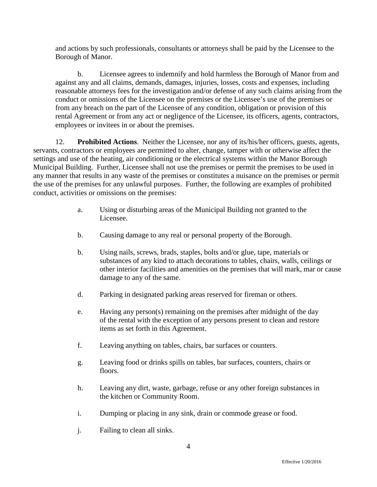and actions by such professionals, consultants or attorneys shall be paid by the Licensee to the Borough of Manor.

b. Licensee agrees to indemnify and hold harmless the Borough of Manor from and against any and all claims, demands, damages, injuries, losses, costs and expenses, including reasonable attorneys fees for the investigation and/or defense of any such claims arising from the conduct or omissions of the Licensee on the premises or the Licensee's use of the premises or from any breach on the part of the Licensee of any condition, obligation or provision of this rental Agreement or from any act or negligence of the Licensee, its officers, agents, contractors, employees or invitees in or about the premises.

12. **Prohibited Actions**. Neither the Licensee, nor any of its/his/her officers, guests, agents, servants, contractors or employees are permitted to alter, change, tamper with or otherwise affect the settings and use of the heating, air conditioning or the electrical systems within the Manor Borough Municipal Building. Further, Licensee shall not use the premises or permit the premises to be used in any manner that results in any waste of the premises or constitutes a nuisance on the premises or permit the use of the premises for any unlawful purposes. Further, the following are examples of prohibited conduct, activities or omissions on the premises:

- a. Using or disturbing areas of the Municipal Building not granted to the Licensee.
- b. Causing damage to any real or personal property of the Borough.
- b. Using nails, screws, brads, staples, bolts and/or glue, tape, materials or substances of any kind to attach decorations to tables, chairs, walls, ceilings or other interior facilities and amenities on the premises that will mark, mar or cause damage to any of the same.
- d. Parking in designated parking areas reserved for fireman or others.
- e. Having any person(s) remaining on the premises after midnight of the day of the rental with the exception of any persons present to clean and restore items as set forth in this Agreement.
- f. Leaving anything on tables, chairs, bar surfaces or counters.
- g. Leaving food or drinks spills on tables, bar surfaces, counters, chairs or floors.
- h. Leaving any dirt, waste, garbage, refuse or any other foreign substances in the kitchen or Community Room.
- i. Dumping or placing in any sink, drain or commode grease or food.
- j. Failing to clean all sinks.